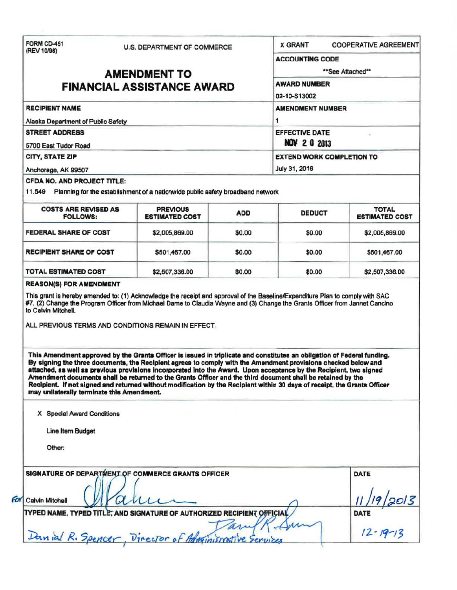| FORM CD-451<br>(REV 10/98)                                                           |                                                                                                                                                                                                                                                                                                                                                                                                                                                                                                                                                                                                             | U.S. DEPARTMENT OF COMMERCE |                                                   | <b>X GRANT</b><br><b>COOPERATIVE AGREEMENT</b> |                 |
|--------------------------------------------------------------------------------------|-------------------------------------------------------------------------------------------------------------------------------------------------------------------------------------------------------------------------------------------------------------------------------------------------------------------------------------------------------------------------------------------------------------------------------------------------------------------------------------------------------------------------------------------------------------------------------------------------------------|-----------------------------|---------------------------------------------------|------------------------------------------------|-----------------|
|                                                                                      |                                                                                                                                                                                                                                                                                                                                                                                                                                                                                                                                                                                                             |                             | <b>ACCOUNTING CODE</b>                            |                                                |                 |
|                                                                                      | <b>AMENDMENT TO</b>                                                                                                                                                                                                                                                                                                                                                                                                                                                                                                                                                                                         | **See Attached**            |                                                   |                                                |                 |
| <b>FINANCIAL ASSISTANCE AWARD</b>                                                    |                                                                                                                                                                                                                                                                                                                                                                                                                                                                                                                                                                                                             |                             | <b>AWARD NUMBER</b><br>02-10-S13002               |                                                |                 |
|                                                                                      |                                                                                                                                                                                                                                                                                                                                                                                                                                                                                                                                                                                                             |                             |                                                   |                                                |                 |
| Alaska Department of Public Safety<br><b>STREET ADDRESS</b><br>5700 East Tudor Road  |                                                                                                                                                                                                                                                                                                                                                                                                                                                                                                                                                                                                             |                             | 1<br><b>EFFECTIVE DATE</b><br><b>NOV 2 0 2013</b> |                                                |                 |
|                                                                                      |                                                                                                                                                                                                                                                                                                                                                                                                                                                                                                                                                                                                             |                             |                                                   |                                                | CITY, STATE ZIP |
| Anchorage, AK 99507                                                                  |                                                                                                                                                                                                                                                                                                                                                                                                                                                                                                                                                                                                             |                             | July 31, 2016                                     |                                                |                 |
| CFDA NO. AND PROJECT TITLE:                                                          |                                                                                                                                                                                                                                                                                                                                                                                                                                                                                                                                                                                                             |                             |                                                   |                                                |                 |
|                                                                                      | 11.549 Planning for the establishment of a nationwide public safety broadband network                                                                                                                                                                                                                                                                                                                                                                                                                                                                                                                       |                             |                                                   |                                                |                 |
| <b>COSTS ARE REVISED AS</b><br><b>FOLLOWS:</b>                                       | <b>PREVIOUS</b><br><b>ESTIMATED COST</b>                                                                                                                                                                                                                                                                                                                                                                                                                                                                                                                                                                    | <b>ADD</b>                  | <b>DEDUCT</b>                                     | <b>TOTAL</b><br><b>ESTIMATED COST</b>          |                 |
| <b>FEDERAL SHARE OF COST</b>                                                         | \$2,005,869.00                                                                                                                                                                                                                                                                                                                                                                                                                                                                                                                                                                                              | \$0.00                      | \$0.00                                            | \$2,005,869.00                                 |                 |
| <b>RECIPIENT SHARE OF COST</b>                                                       | \$501,467.00                                                                                                                                                                                                                                                                                                                                                                                                                                                                                                                                                                                                | \$0.00                      | \$0.00                                            | \$501,467.00                                   |                 |
|                                                                                      |                                                                                                                                                                                                                                                                                                                                                                                                                                                                                                                                                                                                             |                             |                                                   |                                                |                 |
|                                                                                      | \$2,507,336.00<br>This grant is hereby amended to: (1) Acknowledge the receipt and approval of the Baseline/Expenditure Plan to comply with SAC<br>#7, (2) Change the Program Officer from Michael Dame to Claudia Wayne and (3) Change the Grants Officer from Jannet Cancino<br>ALL PREVIOUS TERMS AND CONDITIONS REMAIN IN EFFECT.                                                                                                                                                                                                                                                                       | \$0.00                      | \$0.00                                            | \$2,507,336.00                                 |                 |
| <b>TOTAL ESTIMATED COST</b><br><b>REASON(S) FOR AMENDMENT</b><br>to Calvin Mitchell. | This Amendment approved by the Grants Officer is issued in triplicate and constitutes an obligation of Federal funding.<br>By signing the three documents, the Recipient agrees to comply with the Amendment provisions checked below and<br>attached, as well as previous provisions incorporated into the Award. Upon acceptance by the Recipient, two signed<br>Amendment documents shall be returned to the Grants Officer and the third document shall be retained by the<br>Recipient. If not signed and returned without modification by the Recipient within 30 days of receipt, the Grants Officer |                             |                                                   |                                                |                 |
| may unilaterally terminate this Amendment.                                           |                                                                                                                                                                                                                                                                                                                                                                                                                                                                                                                                                                                                             |                             |                                                   |                                                |                 |
| X Special Award Conditions                                                           |                                                                                                                                                                                                                                                                                                                                                                                                                                                                                                                                                                                                             |                             |                                                   |                                                |                 |
| Line Item Budget                                                                     |                                                                                                                                                                                                                                                                                                                                                                                                                                                                                                                                                                                                             |                             |                                                   |                                                |                 |
| Other:                                                                               |                                                                                                                                                                                                                                                                                                                                                                                                                                                                                                                                                                                                             |                             |                                                   |                                                |                 |
|                                                                                      | SIGNATURE OF DEPARTMENT OF COMMERCE GRANTS OFFICER                                                                                                                                                                                                                                                                                                                                                                                                                                                                                                                                                          |                             |                                                   | <b>DATE</b>                                    |                 |
| <b>Calvin Mitchell</b>                                                               |                                                                                                                                                                                                                                                                                                                                                                                                                                                                                                                                                                                                             |                             |                                                   |                                                |                 |
|                                                                                      | TYPED NAME, TYPED TITLE, AND SIGNATURE OF AUTHORIZED RECIPIENT OFFICIAL                                                                                                                                                                                                                                                                                                                                                                                                                                                                                                                                     |                             |                                                   | DATE<br>$12 - 19 - 13$                         |                 |